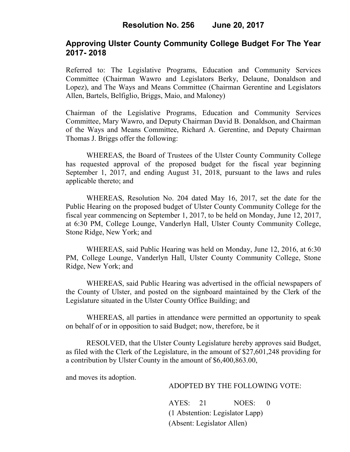# **Approving Ulster County Community College Budget For The Year 2017- 2018**

Referred to: The Legislative Programs, Education and Community Services Committee (Chairman Wawro and Legislators Berky, Delaune, Donaldson and Lopez), and The Ways and Means Committee (Chairman Gerentine and Legislators Allen, Bartels, Belfiglio, Briggs, Maio, and Maloney)

Chairman of the Legislative Programs, Education and Community Services Committee, Mary Wawro, and Deputy Chairman David B. Donaldson, and Chairman of the Ways and Means Committee, Richard A. Gerentine, and Deputy Chairman Thomas J. Briggs offer the following:

WHEREAS, the Board of Trustees of the Ulster County Community College has requested approval of the proposed budget for the fiscal year beginning September 1, 2017, and ending August 31, 2018, pursuant to the laws and rules applicable thereto; and

WHEREAS, Resolution No. 204 dated May 16, 2017, set the date for the Public Hearing on the proposed budget of Ulster County Community College for the fiscal year commencing on September 1, 2017, to be held on Monday, June 12, 2017, at 6:30 PM, College Lounge, Vanderlyn Hall, Ulster County Community College, Stone Ridge, New York; and

WHEREAS, said Public Hearing was held on Monday, June 12, 2016, at 6:30 PM, College Lounge, Vanderlyn Hall, Ulster County Community College, Stone Ridge, New York; and

WHEREAS, said Public Hearing was advertised in the official newspapers of the County of Ulster, and posted on the signboard maintained by the Clerk of the Legislature situated in the Ulster County Office Building; and

WHEREAS, all parties in attendance were permitted an opportunity to speak on behalf of or in opposition to said Budget; now, therefore, be it

RESOLVED, that the Ulster County Legislature hereby approves said Budget, as filed with the Clerk of the Legislature, in the amount of \$27,601,248 providing for a contribution by Ulster County in the amount of \$6,400,863.00,

and moves its adoption.

#### ADOPTED BY THE FOLLOWING VOTE:

AYES: 21 NOES: 0 (1 Abstention: Legislator Lapp) (Absent: Legislator Allen)